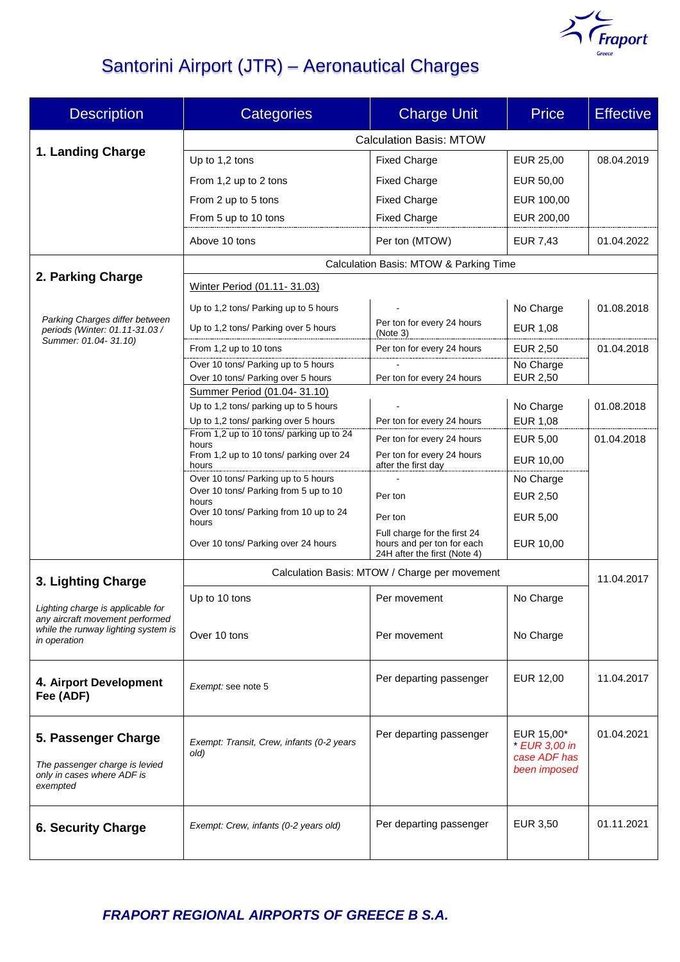

# Santorini Airport (JTR) – Aeronautical Charges

| <b>Description</b>                                                                              | <b>Categories</b>                                                             | <b>Charge Unit</b>                                                                         | <b>Price</b>                                                | <b>Effective</b> |  |
|-------------------------------------------------------------------------------------------------|-------------------------------------------------------------------------------|--------------------------------------------------------------------------------------------|-------------------------------------------------------------|------------------|--|
|                                                                                                 | <b>Calculation Basis: MTOW</b>                                                |                                                                                            |                                                             |                  |  |
| 1. Landing Charge                                                                               | Up to 1,2 tons                                                                | <b>Fixed Charge</b>                                                                        | EUR 25,00                                                   | 08.04.2019       |  |
|                                                                                                 | From 1,2 up to 2 tons                                                         | <b>Fixed Charge</b>                                                                        | EUR 50.00                                                   |                  |  |
|                                                                                                 | From 2 up to 5 tons                                                           | <b>Fixed Charge</b>                                                                        | EUR 100,00                                                  |                  |  |
|                                                                                                 | From 5 up to 10 tons                                                          | <b>Fixed Charge</b>                                                                        | EUR 200,00                                                  |                  |  |
|                                                                                                 | Above 10 tons                                                                 | Per ton (MTOW)                                                                             | <b>EUR 7,43</b>                                             | 01.04.2022       |  |
|                                                                                                 | Calculation Basis: MTOW & Parking Time                                        |                                                                                            |                                                             |                  |  |
| 2. Parking Charge                                                                               | Winter Period (01.11-31.03)                                                   |                                                                                            |                                                             |                  |  |
| Parking Charges differ between<br>periods (Winter: 01.11-31.03 /                                | Up to 1,2 tons/ Parking up to 5 hours                                         |                                                                                            | No Charge                                                   | 01.08.2018       |  |
|                                                                                                 | Up to 1,2 tons/ Parking over 5 hours                                          | Per ton for every 24 hours<br>(Note 3)                                                     | EUR 1,08                                                    |                  |  |
| Summer: 01.04-31.10)                                                                            | From 1,2 up to 10 tons                                                        | Per ton for every 24 hours                                                                 | EUR 2,50                                                    | 01.04.2018       |  |
|                                                                                                 | Over 10 tons/ Parking up to 5 hours                                           |                                                                                            | No Charge                                                   |                  |  |
|                                                                                                 | Over 10 tons/ Parking over 5 hours                                            | Per ton for every 24 hours                                                                 | EUR 2,50                                                    |                  |  |
|                                                                                                 | Summer Period (01.04-31.10)                                                   |                                                                                            |                                                             |                  |  |
|                                                                                                 | Up to 1,2 tons/ parking up to 5 hours<br>Up to 1,2 tons/ parking over 5 hours | Per ton for every 24 hours                                                                 | No Charge<br>EUR 1,08                                       | 01.08.2018       |  |
|                                                                                                 | From 1,2 up to 10 tons/ parking up to 24                                      |                                                                                            |                                                             |                  |  |
|                                                                                                 | hours<br>From 1,2 up to 10 tons/ parking over 24                              | Per ton for every 24 hours<br>Per ton for every 24 hours                                   | <b>EUR 5,00</b>                                             | 01.04.2018       |  |
|                                                                                                 | hours                                                                         | after the first day                                                                        | EUR 10,00                                                   |                  |  |
|                                                                                                 | Over 10 tons/ Parking up to 5 hours                                           |                                                                                            | No Charge                                                   |                  |  |
|                                                                                                 | Over 10 tons/ Parking from 5 up to 10<br>hours                                | Per ton                                                                                    | EUR 2,50                                                    |                  |  |
|                                                                                                 | Over 10 tons/ Parking from 10 up to 24<br>hours                               | Per ton                                                                                    | EUR 5,00                                                    |                  |  |
|                                                                                                 | Over 10 tons/ Parking over 24 hours                                           | Full charge for the first 24<br>hours and per ton for each<br>24H after the first (Note 4) | EUR 10,00                                                   |                  |  |
| 3. Lighting Charge                                                                              | Calculation Basis: MTOW / Charge per movement                                 |                                                                                            |                                                             | 11.04.2017       |  |
|                                                                                                 | Up to 10 tons                                                                 | Per movement                                                                               | No Charge                                                   |                  |  |
| Lighting charge is applicable for<br>any aircraft movement performed                            |                                                                               |                                                                                            |                                                             |                  |  |
| while the runway lighting system is<br>in operation                                             | Over 10 tons                                                                  | Per movement                                                                               | No Charge                                                   |                  |  |
| 4. Airport Development<br>Fee (ADF)                                                             | Exempt: see note 5                                                            | Per departing passenger                                                                    | EUR 12,00                                                   | 11.04.2017       |  |
| 5. Passenger Charge<br>The passenger charge is levied<br>only in cases where ADF is<br>exempted | Exempt: Transit, Crew, infants (0-2 years<br>old)                             | Per departing passenger                                                                    | EUR 15,00*<br>* EUR 3,00 in<br>case ADF has<br>been imposed | 01.04.2021       |  |
| <b>6. Security Charge</b>                                                                       | Exempt: Crew, infants (0-2 years old)                                         | Per departing passenger                                                                    | EUR 3,50                                                    | 01.11.2021       |  |

*FRAPORT REGIONAL AIRPORTS OF GREECE B S.A.*